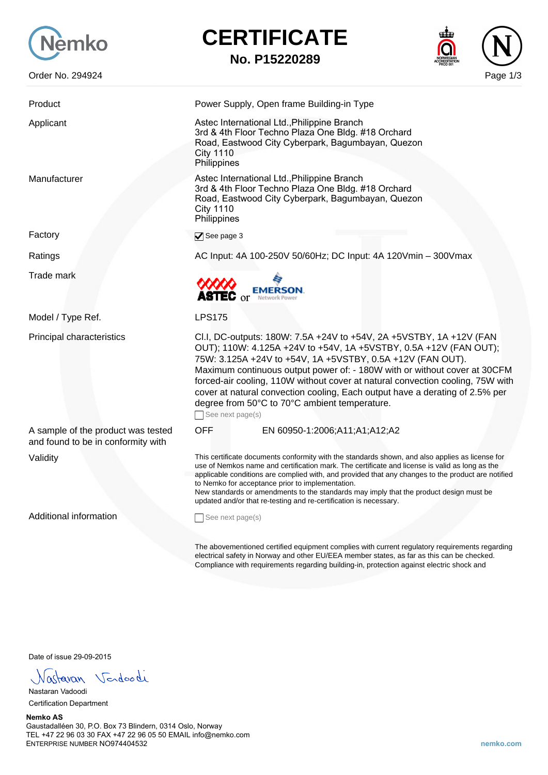

Factory

## **CERTIFICATE**

**No. P15220289**



| Product                                                                  | Power Supply, Open frame Building-in Type                                                                                                                                                                                                                                                                                                                                                                                                                                                                                  |
|--------------------------------------------------------------------------|----------------------------------------------------------------------------------------------------------------------------------------------------------------------------------------------------------------------------------------------------------------------------------------------------------------------------------------------------------------------------------------------------------------------------------------------------------------------------------------------------------------------------|
| Applicant                                                                | Astec International Ltd., Philippine Branch<br>3rd & 4th Floor Techno Plaza One Bldg. #18 Orchard<br>Road, Eastwood City Cyberpark, Bagumbayan, Quezon<br><b>City 1110</b><br>Philippines                                                                                                                                                                                                                                                                                                                                  |
| Manufacturer                                                             | Astec International Ltd., Philippine Branch<br>3rd & 4th Floor Techno Plaza One Bldg. #18 Orchard<br>Road, Eastwood City Cyberpark, Bagumbayan, Quezon<br><b>City 1110</b><br>Philippines                                                                                                                                                                                                                                                                                                                                  |
| Factory                                                                  | See page 3                                                                                                                                                                                                                                                                                                                                                                                                                                                                                                                 |
| Ratings                                                                  | AC Input: 4A 100-250V 50/60Hz; DC Input: 4A 120Vmin - 300Vmax                                                                                                                                                                                                                                                                                                                                                                                                                                                              |
| <b>Trade mark</b>                                                        | <b>EMERSON</b><br>ASTEC $\mathrm{or}$<br>Network Power                                                                                                                                                                                                                                                                                                                                                                                                                                                                     |
| Model / Type Ref.                                                        | <b>LPS175</b>                                                                                                                                                                                                                                                                                                                                                                                                                                                                                                              |
| Principal characteristics                                                | Cl.I, DC-outputs: 180W: 7.5A +24V to +54V, 2A +5VSTBY, 1A +12V (FAN<br>OUT); 110W: 4.125A +24V to +54V, 1A +5VSTBY, 0.5A +12V (FAN OUT);<br>75W: 3.125A +24V to +54V, 1A +5VSTBY, 0.5A +12V (FAN OUT).<br>Maximum continuous output power of: - 180W with or without cover at 30CFM<br>forced-air cooling, 110W without cover at natural convection cooling, 75W with<br>cover at natural convection cooling, Each output have a derating of 2.5% per<br>degree from 50°C to 70°C ambient temperature.<br>See next page(s) |
| A sample of the product was tested<br>and found to be in conformity with | <b>OFF</b><br>EN 60950-1:2006;A11;A1;A12;A2                                                                                                                                                                                                                                                                                                                                                                                                                                                                                |
| Validity                                                                 | This certificate documents conformity with the standards shown, and also applies as license for<br>use of Nemkos name and certification mark. The certificate and license is valid as long as the<br>applicable conditions are complied with, and provided that any changes to the product are notified<br>to Nemko for acceptance prior to implementation.<br>New standards or amendments to the standards may imply that the product design must be<br>updated and/or that re-testing and re-certification is necessary. |
| <b>Additional information</b>                                            | See next page(s)                                                                                                                                                                                                                                                                                                                                                                                                                                                                                                           |
|                                                                          | The abovementioned certified equipment complies with current regulatory requirements regarding<br>electrical safety in Norway and other EU/EEA member states, as far as this can be checked.                                                                                                                                                                                                                                                                                                                               |

Compliance with requirements regarding building-in, protection against electric shock and

Date of issue 29-09-2015

Vastavan Vendoodi

Nastaran Vadoodi Certification Department

## **Nemko AS** Gaustadalléen 30, P.O. Box 73 Blindern, 0314 Oslo, Norway TEL +47 22 96 03 30 FAX +47 22 96 05 50 EMAIL info@nemko.com ENTERPRISE NUMBER NO974404532 **nemko.com**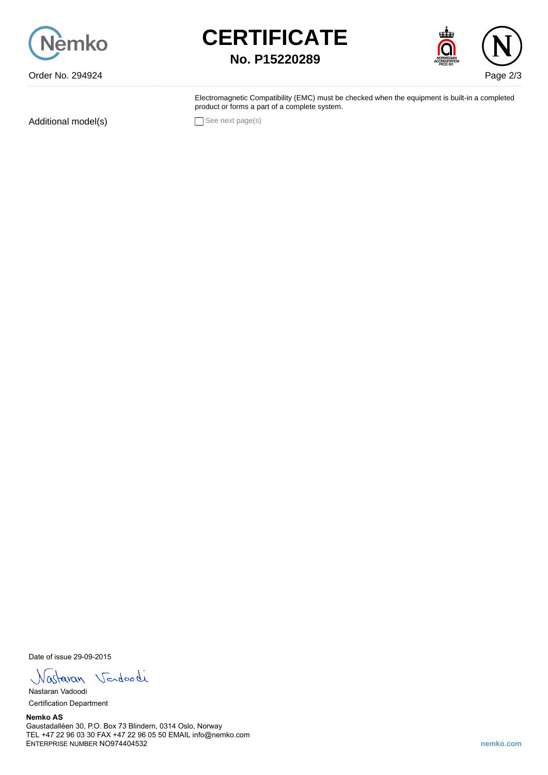





Electromagnetic Compatibility (EMC) must be checked when the equipment is built-in a completed product or forms a part of a complete system.

Additional model(s) See next page(s)

Date of issue 29-09-2015

Nastavan Vendoodi

Nastaran Vadoodi Certification Department

**Nemko AS** Gaustadalléen 30, P.O. Box 73 Blindern, 0314 Oslo, Norway TEL +47 22 96 03 30 FAX +47 22 96 05 50 EMAIL info@nemko.com ENTERPRISE NUMBER NO974404532 **nemko.com**